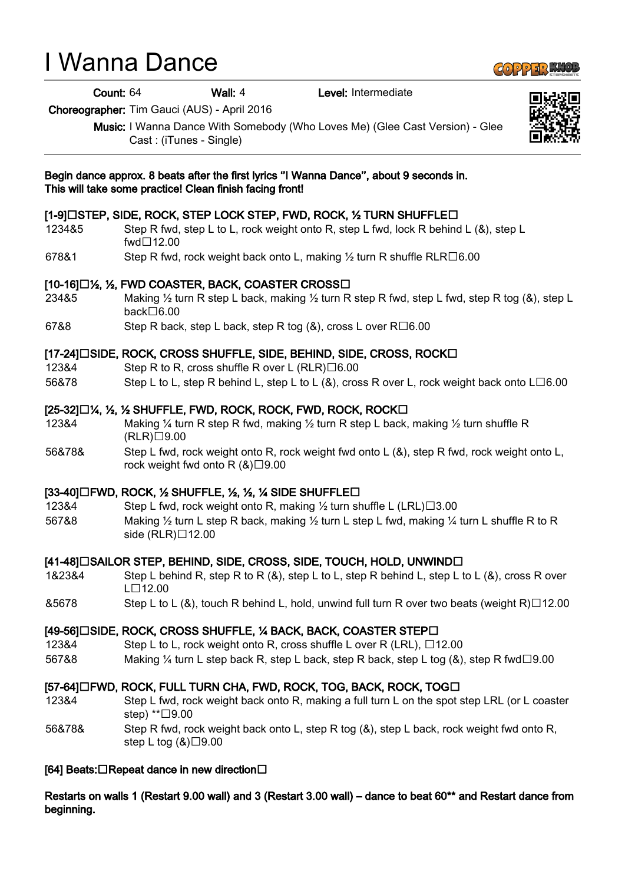# I Wanna Dance

Count: 64 Wall: 4 Level: Intermediate

Choreographer: Tim Gauci (AUS) - April 2016

Music: I Wanna Dance With Somebody (Who Loves Me) (Glee Cast Version) - Glee Cast : (iTunes - Single)

#### Begin dance approx. 8 beats after the first lyrics ''I Wanna Dance'', about 9 seconds in. This will take some practice! Clean finish facing front!

## [1-9] $\Box$ STEP, SIDE, ROCK, STEP LOCK STEP, FWD, ROCK, 1/2 TURN SHUFFLE $\Box$

- 1234&5 Step R fwd, step L to L, rock weight onto R, step L fwd, lock R behind L (&), step L fwd□12.00
- 678&1 Step R fwd, rock weight back onto L, making  $\frac{1}{2}$  turn R shuffle RLR $\Box$ 6.00

### $[10-16]\Box$ %, %, FWD COASTER, BACK, COASTER CROSS $\Box$

- 234&5 Making ½ turn R step L back, making ½ turn R step R fwd, step L fwd, step R tog (&), step L  $back\square6.00$
- 67&8 Step R back, step L back, step R tog  $(8)$ , cross L over R $\Box$ 6.00

#### [17-24] [3IDE, ROCK, CROSS SHUFFLE, SIDE, BEHIND, SIDE, CROSS, ROCK [

- 123&4 Step R to R, cross shuffle R over L  $(RLR) \Box 6.00$
- 56&78 Step L to L, step R behind L, step L to L  $(8)$ , cross R over L, rock weight back onto L $\square$ 6.00

### $[25-32]\Box$ %, %, % SHUFFLE, FWD, ROCK, ROCK, FWD, ROCK, ROCK $\Box$

- 123&4 Making ¼ turn R step R fwd, making ½ turn R step L back, making ½ turn shuffle R  $(RLR) \square 9.00$
- 56&78& Step L fwd, rock weight onto R, rock weight fwd onto L (&), step R fwd, rock weight onto L, rock weight fwd onto R  $(8)\square 9.00$

### $[33-40]$  FWD, ROCK,  $\frac{1}{2}$  SHUFFLE,  $\frac{1}{2}$ ,  $\frac{1}{2}$ ,  $\frac{1}{2}$ ,  $\frac{1}{2}$  SIDE SHUFFLE  $\Box$

- 123&4 Step L fwd, rock weight onto R, making  $\frac{1}{2}$  turn shuffle L (LRL) $\Box$ 3.00
- 567&8 Making ½ turn L step R back, making ½ turn L step L fwd, making ¼ turn L shuffle R to R side  $(RLR)$  $12.00$

### [41-48] [SAILOR STEP, BEHIND, SIDE, CROSS, SIDE, TOUCH, HOLD, UNWIND

- 1&23&4 Step L behind R, step R to R (&), step L to L, step R behind L, step L to L (&), cross R over  $L\square$ 12.00
- $\&5678$  Step L to L ( $&8$ ), touch R behind L, hold, unwind full turn R over two beats (weight R) $\Box$ 12.00

### [49-56] LISIDE, ROCK, CROSS SHUFFLE, 1/4 BACK, BACK, COASTER STEP LI

- 123&4 Step L to L, rock weight onto R, cross shuffle L over R (LRL), □12.00
- 567&8 Making 1/4 turn L step back R, step L back, step R back, step L tog  $(8)$ , step R fwd $\Box$ 9.00

### [57-64] $\Box$ FWD, ROCK, FULL TURN CHA, FWD, ROCK, TOG, BACK, ROCK, TOG $\Box$

- 123&4 Step L fwd, rock weight back onto R, making a full turn L on the spot step LRL (or L coaster step)  $*$  $\Box$ 9.00
- 56&78& Step R fwd, rock weight back onto L, step R tog (&), step L back, rock weight fwd onto R, step L tog  $(8) \square 9.00$

### [64] Beats: $\Box$ Repeat dance in new direction $\Box$

Restarts on walls 1 (Restart 9.00 wall) and 3 (Restart 3.00 wall) – dance to beat 60\*\* and Restart dance from beginning.